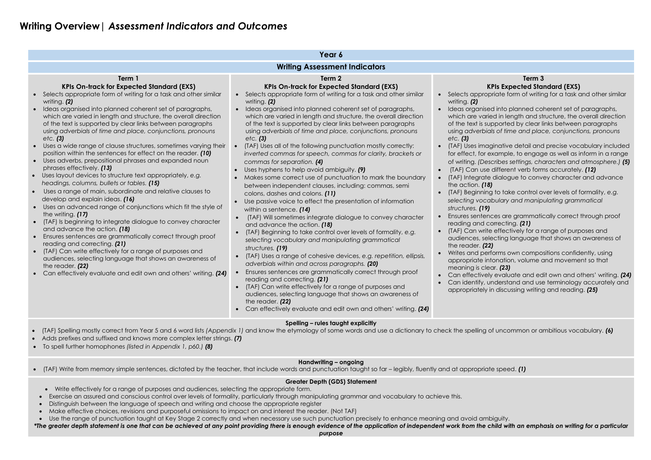# **Writing Overview|** *Assessment Indicators and Outcomes*

d into planned coherent set of paragraphs, ed in length and structure, the overall direction oported by clear links between paragraphs using *adverbials of time and place, conjunctions, pronouns* 

inative detail and precise vocabulary included kample, to engage as well as inform in a range of writing. *(Describes settings, characters and atmosphere.) (5)* different verb forms accurately. *(12)* 

dialogue to convey character and advance

to take control over levels of formality, *e.g. selecting vocabulary and manipulating grammatical* 

ces are grammatically correct through proof prrecting. **(21)** 

effectively for a range of purposes and

ecting language that shows an awareness of

orms own compositions confidently, using onation, volume and movement so that pr. **(23)** 

evaluate and edit own and others' writing. **(24)** nderstand and use terminology accurately and appriately in discussing writing and reading. *(25)* 

|                                                                                                                                                                                                                                                                                                                                                                                                                                                                                                                                                                                                                                                                                                                                                                                                                                                                                                                                                                                                                                                                                                                                                                                                                                                                                                                                                                                                                  | Year 6                                                                                                                                                                                                                                                                                                                                                                                                                                                                                                                                                                                                                                                                                                                                                                                                                                                                                                                                                                                                                                                                                                                                                                                                                                                                                                                                                                                                                                                                                                                                                                                                                |                                                                                                                                                                                                                                                                                                                                                                                                                                                                                                                                                                                                                    |  |  |  |  |
|------------------------------------------------------------------------------------------------------------------------------------------------------------------------------------------------------------------------------------------------------------------------------------------------------------------------------------------------------------------------------------------------------------------------------------------------------------------------------------------------------------------------------------------------------------------------------------------------------------------------------------------------------------------------------------------------------------------------------------------------------------------------------------------------------------------------------------------------------------------------------------------------------------------------------------------------------------------------------------------------------------------------------------------------------------------------------------------------------------------------------------------------------------------------------------------------------------------------------------------------------------------------------------------------------------------------------------------------------------------------------------------------------------------|-----------------------------------------------------------------------------------------------------------------------------------------------------------------------------------------------------------------------------------------------------------------------------------------------------------------------------------------------------------------------------------------------------------------------------------------------------------------------------------------------------------------------------------------------------------------------------------------------------------------------------------------------------------------------------------------------------------------------------------------------------------------------------------------------------------------------------------------------------------------------------------------------------------------------------------------------------------------------------------------------------------------------------------------------------------------------------------------------------------------------------------------------------------------------------------------------------------------------------------------------------------------------------------------------------------------------------------------------------------------------------------------------------------------------------------------------------------------------------------------------------------------------------------------------------------------------------------------------------------------------|--------------------------------------------------------------------------------------------------------------------------------------------------------------------------------------------------------------------------------------------------------------------------------------------------------------------------------------------------------------------------------------------------------------------------------------------------------------------------------------------------------------------------------------------------------------------------------------------------------------------|--|--|--|--|
| <b>Writing Assessment Indicators</b>                                                                                                                                                                                                                                                                                                                                                                                                                                                                                                                                                                                                                                                                                                                                                                                                                                                                                                                                                                                                                                                                                                                                                                                                                                                                                                                                                                             |                                                                                                                                                                                                                                                                                                                                                                                                                                                                                                                                                                                                                                                                                                                                                                                                                                                                                                                                                                                                                                                                                                                                                                                                                                                                                                                                                                                                                                                                                                                                                                                                                       |                                                                                                                                                                                                                                                                                                                                                                                                                                                                                                                                                                                                                    |  |  |  |  |
| Term 1<br><b>KPIs On-track for Expected Standard (EXS)</b><br>Selects appropriate form of writing for a task and other similar<br>writing. (2)<br>Ideas organised into planned coherent set of paragraphs,<br>which are varied in length and structure, the overall direction<br>of the text is supported by clear links between paragraphs<br>using adverbials of time and place, conjunctions, pronouns<br>$etc.$ (3)<br>Uses a wide range of clause structures, sometimes varying their<br>position within the sentences for effect on the reader. (10)<br>Uses adverbs, prepositional phrases and expanded noun<br>$\bullet$<br>phrases effectively. (13)<br>Uses layout devices to structure text appropriately, e.g.<br>$\bullet$<br>headings, columns, bullets or tables. (15)<br>Uses a range of main, subordinate and relative clauses to<br>$\bullet$<br>develop and explain ideas. (16)<br>Uses an advanced range of conjunctions which fit the style of<br>the writing. (17)<br>(TAF) Is beginning to integrate dialogue to convey character<br>and advance the action. (18)<br>Ensures sentences are grammatically correct through proof<br>reading and correcting. (21)<br>(TAF) Can write effectively for a range of purposes and<br>$\bullet$<br>audiences, selecting language that shows an awareness of<br>the reader. (22)<br>Can effectively evaluate and edit own and others' writing. (24) | Term <sub>2</sub><br><b>KPIs On-track for Expected Standard (EXS)</b><br>Selects appropriate form of writing for a task and other similar<br>$\bullet$<br>writing. $(2)$<br>Ideas organised into planned coherent set of paragraphs,<br>which are varied in length and structure, the overall direction<br>of the text is supported by clear links between paragraphs<br>using adverbials of time and place, conjunctions, pronouns<br>$etc.$ (3)<br>(TAF) Uses all of the following punctuation mostly correctly:<br>$\bullet$<br>inverted commas for speech, commas for clarity, brackets or<br>commas for separation. (4)<br>Uses hyphens to help avoid ambiguity. (9)<br>Makes some correct use of punctuation to mark the boundary<br>between independent clauses, including: commas, semi<br>colons, dashes and colons. (11)<br>Use passive voice to effect the presentation of information<br>within a sentence. (14)<br>(TAF) Will sometimes integrate dialogue to convey character<br>and advance the action. (18)<br>(TAF) Beginning to take control over levels of formality, e.g.<br>selecting vocabulary and manipulating grammatical<br>structures. (19)<br>(TAF) Uses a range of cohesive devices, e.g. repetition, ellipsis,<br>$\bullet$<br>adverbials within and across paragraphs. (20)<br>Ensures sentences are grammatically correct through proof<br>reading and correcting. (21)<br>(TAF) Can write effectively for a range of purposes and<br>audiences, selecting language that shows an awareness of<br>the reader. (22)<br>Can effectively evaluate and edit own and others' writing. (24) | <b>KF</b><br>Selects appropr<br>writing. (2)<br>Ideas organisec<br>which are varie<br>of the text is sup<br>using adverbials<br>$etc.$ (3)<br>(TAF) Uses imag<br>$\bullet$<br>for effect, for ex<br>of writing. (Desc<br>(TAF) Can use a<br>(TAF) Integrate<br>the action. (18)<br>(TAF) Beginning<br>$\bullet$<br>selecting vocal<br>structures. (19)<br>Ensures sentenc<br>$\bullet$<br>reading and cc<br>(TAF) Can write<br>$\bullet$<br>audiences, sele<br>the reader. (22)<br>Writes and perfo<br>$\bullet$<br>appropriate into<br>meaning is clec<br>Can effectively<br>Can identify, ur<br>appropriately in |  |  |  |  |

# **Term 3 KPIs Expected Standard (EXS)**

riate form of writing for a task and other similar

# **Spelling – rules taught explicitly**

- (TAF) Spelling mostly correct from Year 5 and 6 word lists *(Appendix 1)* and know the etymology of some words and use a dictionary to check the spelling of uncommon or ambitious vocabulary. *(6)*
- Adds prefixes and suffixed and knows more complex letter strings. *(7)*
- To spell further homophones *(listed in Appendix 1, p60.) (8)*

# **Handwriting – ongoing**

(TAF) Write from memory simple sentences, dictated by the teacher, that include words and punctuation taught so far – legibly, fluently and at appropriate speed. *(1)*

# **Greater Depth (GDS) Statement**

- Write effectively for a range of purposes and audiences, selecting the appropriate form.
- Exercise an assured and conscious control over levels of formality, particularly through manipulating grammar and vocabulary to achieve this.
- Distinguish between the language of speech and writing and choose the appropriate register
- Make effective choices, revisions and purposeful omissions to impact on and interest the reader. (Not TAF)
- Use the range of punctuation taught at Key Stage 2 correctly and when necessary use such punctuation precisely to enhance meaning and avoid ambiguity.
- *\*The greater depth statement is one that can be achieved at any point providing there is enough evidence of the application of independent work from the child with an emphasis on writing for a particular*

*purpose*